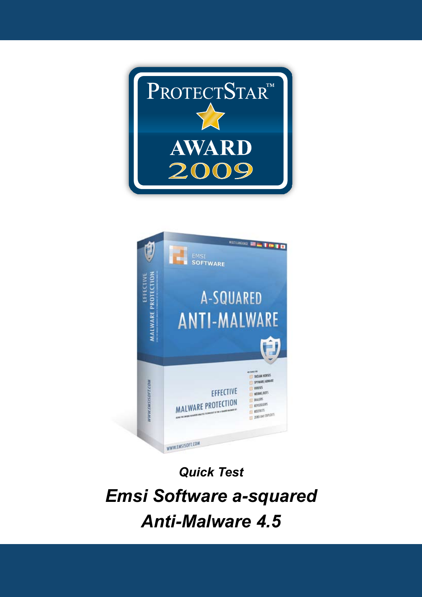



*Quick Test Emsi Software a-squared Anti-Malware 4.5*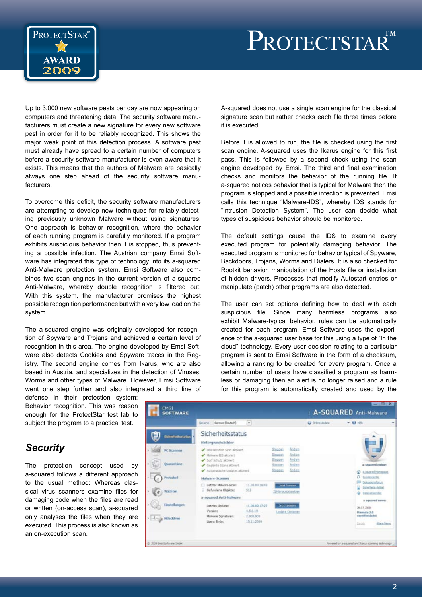



Up to 3,000 new software pests per day are now appearing on computers and threatening data. The security software manufacturers must create a new signature for every new software pest in order for it to be reliably recognized. This shows the major weak point of this detection process. A software pest must already have spread to a certain number of computers before a security software manufacturer is even aware that it exists. This means that the authors of Malware are basically always one step ahead of the security software manufacturers.

To overcome this deficit, the security software manufacturers are attempting to develop new techniques for reliably detecting previously unknown Malware without using signatures. One approach is behavior recognition, where the behavior of each running program is carefully monitored. If a program exhibits suspicious behavior then it is stopped, thus preventing a possible infection. The Austrian company Emsi Software has integrated this type of technology into its a-squared Anti-Malware protection system. Emsi Software also combines two scan engines in the current version of a-squared Anti-Malware, whereby double recognition is filtered out. With this system, the manufacturer promises the highest possible recognition performance but with a very low load on the system.

The a-squared engine was originally developed for recognition of Spyware and Trojans and achieved a certain level of recognition in this area. The engine developed by Emsi Software also detects Cookies and Spyware traces in the Registry. The second engine comes from Ikarus, who are also based in Austria, and specializes in the detection of Viruses, Worms and other types of Malware. However, Emsi Software went one step further and also integrated a third line of

defense in their protection system: Behavior recognition. This was reason enough for the ProtectStar test lab to subject the program to a practical test.

## *Security*

The protection concept used by a-squared follows a different approach to the usual method: Whereas classical virus scanners examine files for damaging code when the files are read or written (on-access scan), a-squared only analyses the files when they are executed. This process is also known as an on-execution scan.

A-squared does not use a single scan engine for the classical signature scan but rather checks each file three times before it is executed.

Before it is allowed to run, the file is checked using the first scan engine. A-squared uses the Ikarus engine for this first pass. This is followed by a second check using the scan engine developed by Emsi. The third and final examination checks and monitors the behavior of the running file. If a-squared notices behavior that is typical for Malware then the program is stopped and a possible infection is prevented. Emsi calls this technique "Malware-IDS", whereby IDS stands for "Intrusion Detection System". The user can decide what types of suspicious behavior should be monitored.

The default settings cause the IDS to examine every executed program for potentially damaging behavior. The executed program is monitored for behavior typical of Spyware, Backdoors, Trojans, Worms and Dialers. It is also checked for Rootkit behavior, manipulation of the Hosts file or installation of hidden drivers. Processes that modify Autostart entries or manipulate (patch) other programs are also detected.

The user can set options defining how to deal with each suspicious file. Since many harmless programs also exhibit Malware-typical behavior, rules can be automatically created for each program. Emsi Software uses the experience of the a-squared user base for this using a type of "In the cloud" technology. Every user decision relating to a particular program is sent to Emsi Software in the form of a checksum, allowing a ranking to be created for every program. Once a certain number of users have classified a program as harmless or damaging then an alert is no longer raised and a rule for this program is automatically created and used by the

| <b>SOFTWARE</b>                |                                                                                                                                                                                                                                         |                                                       |                                                      | A-SQUARED Anti-Malware                             |                 |                                                                                                           |   |
|--------------------------------|-----------------------------------------------------------------------------------------------------------------------------------------------------------------------------------------------------------------------------------------|-------------------------------------------------------|------------------------------------------------------|----------------------------------------------------|-----------------|-----------------------------------------------------------------------------------------------------------|---|
|                                | German (Deutsch)<br>Soradhe :                                                                                                                                                                                                           | $\bullet$                                             |                                                      |                                                    | CJ Orientibdate | $= 62.804$                                                                                                | ٠ |
| Sicherheitsstatus <sup>1</sup> | Sicherheitsstatus<br>Nintergrundwächter                                                                                                                                                                                                 |                                                       |                                                      |                                                    |                 |                                                                                                           |   |
| PC Scannen<br>Oslaminitärin    | CrEsentin Sran aktivert<br>Halvare-IDS aktivist<br>Sud Schutz aktiviert<br>Geplante Scins aktiviert<br>Automattache Undates aktivert<br><b>Malware-Scanner</b><br>Letzter Nakyare Sizer:<br>11.08.00 18:40<br>Gefundene Obsekte:<br>513 |                                                       | Stoppen<br>Stropen<br>Stoppen<br>Stoppers<br>Stoppen | Andem<br><b>Andem</b><br>Andein<br>Andem<br>Anders |                 | a-squared online:<br><b>A-10-AFRICATION</b><br>œ.                                                         |   |
| Protolesh<br>Wächter           |                                                                                                                                                                                                                                         |                                                       | <b>Jest Scavico</b><br><b>Zahler zurückehrten</b>    |                                                    |                 | ñ<br><b>Gridencente</b> :<br>Deliuwsers/forum<br>Scenters Artist<br>÷<br>Date amershes                    |   |
| Einstellungen<br>HillackFreet  | a-squared Anti-Nalware<br>Lutztes Update:<br>Version:<br><b>Halvare Sgraturen:</b><br>Lizenz Ender                                                                                                                                      | 11.08.09 17:27<br>4.5.9.19<br>2.939.935<br>15.11.2009 | <b>Jetri Updaten</b><br>Update Optionen              |                                                    |                 | a represent newer<br>38.07.3009<br>Hamutu 2.0<br><b>New Affirm Higher</b><br><b>Zabbb</b><br>Altera Navig |   |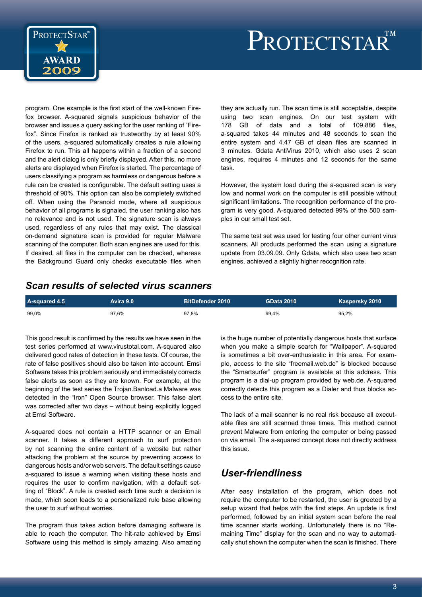



program. One example is the first start of the well-known Firefox browser. A-squared signals suspicious behavior of the browser and issues a query asking for the user ranking of "Firefox". Since Firefox is ranked as trustworthy by at least 90% of the users, a-squared automatically creates a rule allowing Firefox to run. This all happens within a fraction of a second and the alert dialog is only briefly displayed. After this, no more alerts are displayed when Firefox is started. The percentage of users classifying a program as harmless or dangerous before a rule can be created is configurable. The default setting uses a threshold of 90%. This option can also be completely switched off. When using the Paranoid mode, where all suspicious behavior of all programs is signaled, the user ranking also has no relevance and is not used. The signature scan is always used, regardless of any rules that may exist. The classical on-demand signature scan is provided for regular Malware scanning of the computer. Both scan engines are used for this. If desired, all files in the computer can be checked, whereas the Background Guard only checks executable files when they are actually run. The scan time is still acceptable, despite using two scan engines. On our test system with 178 GB of data and a total of 109,886 files, a-squared takes 44 minutes and 48 seconds to scan the entire system and 4.47 GB of clean files are scanned in 3 minutes. Gdata AntiVirus 2010, which also uses 2 scan engines, requires 4 minutes and 12 seconds for the same task.

However, the system load during the a-squared scan is very low and normal work on the computer is still possible without significant limitations. The recognition performance of the program is very good. A-squared detected 99% of the 500 samples in our small test set.

The same test set was used for testing four other current virus scanners. All products performed the scan using a signature update from 03.09.09. Only Gdata, which also uses two scan engines, achieved a slightly higher recognition rate.

#### *Scan results of selected virus scanners*

| A-squared 4.5 | Avira 9.0 | ' BitDefender 2010 ا | <b>GData 2010</b> | Kaspersky 2010 ' |
|---------------|-----------|----------------------|-------------------|------------------|
| 99.0%         | 97.6%     | 97.8%                | 99.4%             | 95.2%            |

This good result is confirmed by the results we have seen in the test series performed at www.virustotal.com. A-squared also delivered good rates of detection in these tests. Of course, the rate of false positives should also be taken into account. Emsi Software takes this problem seriously and immediately corrects false alerts as soon as they are known. For example, at the beginning of the test series the Trojan.Banload.a Malware was detected in the "Iron" Open Source browser. This false alert was corrected after two days – without being explicitly logged at Emsi Software.

A-squared does not contain a HTTP scanner or an Email scanner. It takes a different approach to surf protection by not scanning the entire content of a website but rather attacking the problem at the source by preventing access to dangerous hosts and/or web servers. The default settings cause a-squared to issue a warning when visiting these hosts and requires the user to confirm navigation, with a default setting of "Block". A rule is created each time such a decision is made, which soon leads to a personalized rule base allowing the user to surf without worries.

The program thus takes action before damaging software is able to reach the computer. The hit-rate achieved by Emsi Software using this method is simply amazing. Also amazing

is the huge number of potentially dangerous hosts that surface when you make a simple search for "Wallpaper". A-squared is sometimes a bit over-enthusiastic in this area. For example, access to the site "freemail.web.de" is blocked because the "Smartsurfer" program is available at this address. This program is a dial-up program provided by web.de. A-squared correctly detects this program as a Dialer and thus blocks access to the entire site.

The lack of a mail scanner is no real risk because all executable files are still scanned three times. This method cannot prevent Malware from entering the computer or being passed on via email. The a-squared concept does not directly address this issue.

#### *User-friendliness*

After easy installation of the program, which does not require the computer to be restarted, the user is greeted by a setup wizard that helps with the first steps. An update is first performed, followed by an initial system scan before the real time scanner starts working. Unfortunately there is no "Remaining Time" display for the scan and no way to automatically shut shown the computer when the scan is finished. There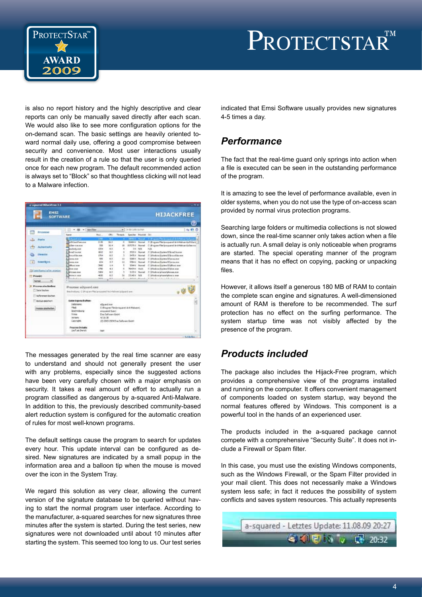

# PROTECTSTAR<sup>TM</sup>

is also no report history and the highly descriptive and clear reports can only be manually saved directly after each scan. We would also like to see more configuration options for the on-demand scan. The basic settings are heavily oriented toward normal daily use, offering a good compromise between security and convenience. Most user interactions usually result in the creation of a rule so that the user is only queried once for each new program. The default recommended action is always set to "Block" so that thoughtless clicking will not lead to a Malware infection.

| <b>EMSI</b><br><b>SOFTWARE</b> |                                                               |                  |                      |                                   |                       |                           | <b>HIJACKFREE</b>                                   |  |
|--------------------------------|---------------------------------------------------------------|------------------|----------------------|-----------------------------------|-----------------------|---------------------------|-----------------------------------------------------|--|
|                                |                                                               |                  |                      |                                   |                       |                           | ш                                                   |  |
| Probesse                       | $+$ $\ddot{m}$ $+$ $\ddot{m}$<br>я                            |                  |                      | . In do Lets Action               |                       |                           | 460                                                 |  |
|                                | <b>Rainman</b>                                                | Red              |                      | CHI - Threats                     |                       | Smiler Poucet Oct         |                                                     |  |
| Posts                          | <b>Charles</b>                                                | B.               |                      |                                   | <b>207021 Printed</b> |                           | 1: Propert Technologie of Artiststanova Docente     |  |
|                                | <b>ABELIAN POWER</b>                                          | 近期               | 56.5                 | ×                                 | 2040413               | <b>Titanud</b>            | C.Progress Film (program of Aris-Malina via 210ach) |  |
| <b>Aislandaris</b>             | <b>Allen Grande</b>                                           | ton              | 16.4                 | in.                               | <b>VETCH 4 Normal</b> |                           | C. Progress Film (employed And Making a la Section  |  |
|                                | availadit ese                                                 | 1204             | 9.9                  | ٠                                 |                       | first Parts               | 16.06                                               |  |
|                                | <b>Florid Island</b>                                          | M13              | 8.2                  | z                                 |                       | MADA House                | C. Modes Rates Ukrail is re-                        |  |
| <b><i><u>Elizabeth</u></i></b> | <b>Libraritte ave</b>                                         | 1754             | ××                   | ٠                                 |                       | <b>SCHOOL Pleasant</b>    | C. Mindow/System TD for soft be ever                |  |
|                                | <b>Elenant</b>                                                | total            | a.n.                 | ix                                |                       | <b>START A. Phoenial</b>  | C-photoa/Judes/Ukrosine                             |  |
| <b>Sound Bond</b><br>m         | <b>Elesson</b>                                                | 434              | 13                   | 12                                |                       | <b>STRACK Photograph</b>  | C. Mindows Spiders The receive                      |  |
|                                | <b>Flatenting</b>                                             | TNN <sup>1</sup> | i.e                  | ٠                                 |                       | <b>There Need</b>         | C-30x4xx(habes 12)/Fest non                         |  |
|                                | 1 hours ave                                                   | s766             | 4.9                  | ÷                                 | Methed High           |                           | C. Minkow System Thing are                          |  |
| El Sancham (who jointed)       | <b>Eleiropei</b> aux                                          | <b>Sabe</b>      | 6.0                  | 3                                 |                       | <b>SIZEK Romal</b>        | C (Mindrea) place (placem.mat.                      |  |
| <b>FT Present:</b>             | E Berner, non                                                 | 45.95            | 4.5                  | $\frac{1}{2}$                     | <b>TRIADA NIN</b>     |                           | C: (the Emalgins of plaintist man                   |  |
|                                | E Linkedown                                                   | <b>AMERS</b>     | $\overline{a}$       |                                   |                       | <b>Balland - Mountain</b> | where the children and the children                 |  |
| <b>Sarmul</b><br>۰             |                                                               |                  |                      |                                   |                       |                           |                                                     |  |
| Progress when his first        | Prezence a Typerd.com                                         |                  |                      |                                   |                       |                           |                                                     |  |
| Ti Saint Biedow                |                                                               |                  |                      |                                   |                       |                           |                                                     |  |
|                                | Inscholarly C Program Nationssound Institutional jobs and any |                  |                      |                                   |                       |                           |                                                     |  |
| Auftremen Eschen               |                                                               |                  |                      |                                   |                       |                           |                                                     |  |
| <b>Botus pocher</b>            | <b>Dates Experienth aftern</b>                                |                  |                      |                                   |                       |                           | R                                                   |  |
|                                | Datervalue:                                                   | Gundme           |                      |                                   |                       |                           |                                                     |  |
| rosse alsohelan                | <b>Hind</b> :<br>C/Progress They's request Art Mahmet.        |                  |                      |                                   |                       |                           |                                                     |  |
|                                | <b>Jestreburg</b><br>area med Suicil.                         |                  |                      |                                   |                       |                           |                                                     |  |
|                                | <b>Tewar</b>                                                  |                  | first failures Gaint |                                   |                       |                           |                                                     |  |
|                                | <b>Werkeler</b>                                               | 4.1.0.35         |                      |                                   |                       |                           |                                                     |  |
|                                | <b>Conradit</b>                                               |                  |                      | (C) 3005-2009 free Saltanee Grant |                       |                           |                                                     |  |
|                                | <b>Frozess Details:</b>                                       |                  |                      |                                   |                       |                           |                                                     |  |
|                                | Line Trailer (Carolin)                                        | <b>SAFT</b>      |                      |                                   |                       |                           |                                                     |  |

The messages generated by the real time scanner are easy to understand and should not generally present the user with any problems, especially since the suggested actions have been very carefully chosen with a major emphasis on security. It takes a real amount of effort to actually run a program classified as dangerous by a-squared Anti-Malware. In addition to this, the previously described community-based alert reduction system is configured for the automatic creation of rules for most well-known programs.

The default settings cause the program to search for updates every hour. This update interval can be configured as desired. New signatures are indicated by a small popup in the information area and a balloon tip when the mouse is moved over the icon in the System Tray.

We regard this solution as very clear, allowing the current version of the signature database to be queried without having to start the normal program user interface. According to the manufacturer, a-squared searches for new signatures three minutes after the system is started. During the test series, new signatures were not downloaded until about 10 minutes after starting the system. This seemed too long to us. Our test series indicated that Emsi Software usually provides new signatures 4-5 times a day.

### *Performance*

The fact that the real-time guard only springs into action when a file is executed can be seen in the outstanding performance of the program.

It is amazing to see the level of performance available, even in older systems, when you do not use the type of on-access scan provided by normal virus protection programs.

Searching large folders or multimedia collections is not slowed down, since the real-time scanner only takes action when a file is actually run. A small delay is only noticeable when programs are started. The special operating manner of the program means that it has no effect on copying, packing or unpacking files.

However, it allows itself a generous 180 MB of RAM to contain the complete scan engine and signatures. A well-dimensioned amount of RAM is therefore to be recommended. The surf protection has no effect on the surfing performance. The system startup time was not visibly affected by the presence of the program.

## *Products included*

The package also includes the Hijack-Free program, which provides a comprehensive view of the programs installed and running on the computer. It offers convenient management of components loaded on system startup, way beyond the normal features offered by Windows. This component is a powerful tool in the hands of an experienced user.

The products included in the a-squared package cannot compete with a comprehensive "Security Suite". It does not include a Firewall or Spam filter.

In this case, you must use the existing Windows components, such as the Windows Firewall, or the Spam Filter provided in your mail client. This does not necessarily make a Windows system less safe; in fact it reduces the possibility of system conflicts and saves system resources. This actually represents

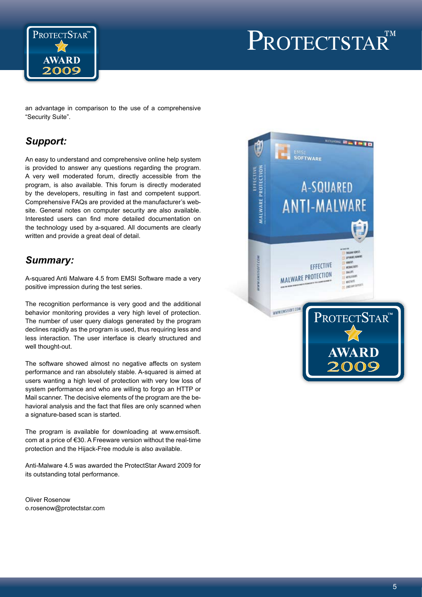

# PROTECTSTAR<sup>TM</sup>

an advantage in comparison to the use of a comprehensive "Security Suite".

# *Support:*

An easy to understand and comprehensive online help system is provided to answer any questions regarding the program. A very well moderated forum, directly accessible from the program, is also available. This forum is directly moderated by the developers, resulting in fast and competent support. Comprehensive FAQs are provided at the manufacturer's website. General notes on computer security are also available. Interested users can find more detailed documentation on the technology used by a-squared. All documents are clearly written and provide a great deal of detail.

# *Summary:*

A-squared Anti Malware 4.5 from EMSI Software made a very positive impression during the test series.

The recognition performance is very good and the additional behavior monitoring provides a very high level of protection. The number of user query dialogs generated by the program declines rapidly as the program is used, thus requiring less and less interaction. The user interface is clearly structured and well thought-out.

The software showed almost no negative affects on system performance and ran absolutely stable. A-squared is aimed at users wanting a high level of protection with very low loss of system performance and who are willing to forgo an HTTP or Mail scanner. The decisive elements of the program are the behavioral analysis and the fact that files are only scanned when a signature-based scan is started.

The program is available for downloading at www.emsisoft. com at a price of €30. A Freeware version without the real-time protection and the Hijack-Free module is also available.

Anti-Malware 4.5 was awarded the ProtectStar Award 2009 for its outstanding total performance.

Oliver Rosenow o.rosenow@protectstar.com